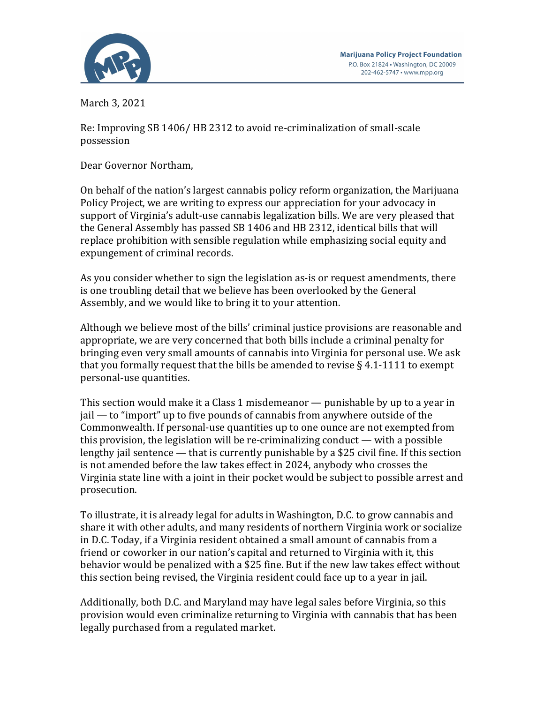March 3, 2021

Re: Improving SB 1406/ HB 2312 to avoid re-criminalization of small-scale possession

Dear Governor Northam,

On behalf of the nation's largest cannabis policy reform organization, the Marijuana Policy Project, we are writing to express our appreciation for your advocacy in support of Virginia's adult-use cannabis legalization bills. We are very pleased that the General Assembly has passed SB 1406 and HB 2312, identical bills that will replace prohibition with sensible regulation while emphasizing social equity and expungement of criminal records.

As you consider whether to sign the legislation as-is or request amendments, there is one troubling detail that we believe has been overlooked by the General Assembly, and we would like to bring it to your attention.

Although we believe most of the bills' criminal justice provisions are reasonable and appropriate, we are very concerned that both bills include a criminal penalty for bringing even very small amounts of cannabis into Virginia for personal use. We ask that you formally request that the bills be amended to revise  $\S$  4.1-1111 to exempt personal-use quantities.

This section would make it a Class 1 misdemeanor — punishable by up to a year in  $jail$  — to "import" up to five pounds of cannabis from anywhere outside of the Commonwealth. If personal-use quantities up to one ounce are not exempted from this provision, the legislation will be re-criminalizing conduct — with a possible lengthy jail sentence — that is currently punishable by a \$25 civil fine. If this section is not amended before the law takes effect in 2024, anybody who crosses the Virginia state line with a joint in their pocket would be subject to possible arrest and prosecution.

To illustrate, it is already legal for adults in Washington, D.C. to grow cannabis and share it with other adults, and many residents of northern Virginia work or socialize in D.C. Today, if a Virginia resident obtained a small amount of cannabis from a friend or coworker in our nation's capital and returned to Virginia with it, this behavior would be penalized with a \$25 fine. But if the new law takes effect without this section being revised, the Virginia resident could face up to a year in jail.

Additionally, both D.C. and Maryland may have legal sales before Virginia, so this provision would even criminalize returning to Virginia with cannabis that has been legally purchased from a regulated market.